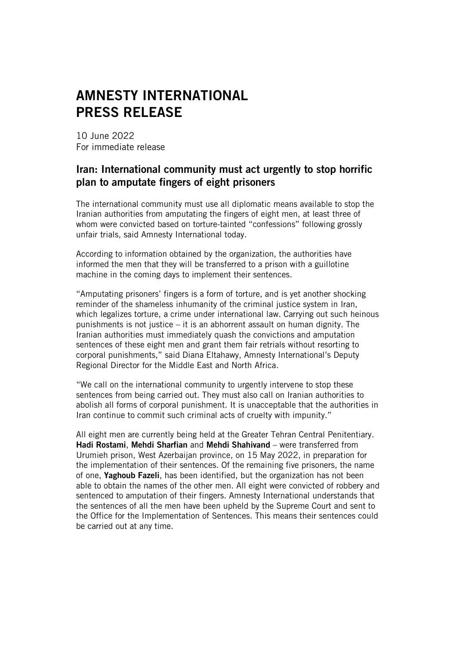## AMNESTY INTERNATIONAL PRESS RELEASE

10 June 2022 For immediate release

## Iran: International community must act urgently to stop horrific plan to amputate fingers of eight prisoners

The international community must use all diplomatic means available to stop the Iranian authorities from amputating the fingers of eight men, at least three of whom were convicted based on torture-tainted "confessions" following grossly unfair trials, said Amnesty International today.

According to information obtained by the organization, the authorities have informed the men that they will be transferred to a prison with a guillotine machine in the coming days to implement their sentences.

"Amputating prisoners' fingers is a form of torture, and is yet another shocking reminder of the shameless inhumanity of the criminal justice system in Iran, which legalizes torture, a crime under international law. Carrying out such heinous punishments is not justice – it is an abhorrent assault on human dignity. The Iranian authorities must immediately quash the convictions and amputation sentences of these eight men and grant them fair retrials without resorting to corporal punishments," said Diana Eltahawy, Amnesty International's Deputy Regional Director for the Middle East and North Africa.

"We call on the international community to urgently intervene to stop these sentences from being carried out. They must also call on Iranian authorities to abolish all forms of corporal punishment. It is unacceptable that the authorities in Iran continue to commit such criminal acts of cruelty with impunity."

All eight men are currently being held at the Greater Tehran Central Penitentiary. Hadi Rostami, Mehdi Sharfian and Mehdi Shahivand – were transferred from Urumieh prison, West Azerbaijan province, on 15 May 2022, in preparation for the implementation of their sentences. Of the remaining five prisoners, the name of one, Yaghoub Fazeli, has been identified, but the organization has not been able to obtain the names of the other men. All eight were convicted of robbery and sentenced to amputation of their fingers. Amnesty International understands that the sentences of all the men have been upheld by the Supreme Court and sent to the Office for the Implementation of Sentences. This means their sentences could be carried out at any time.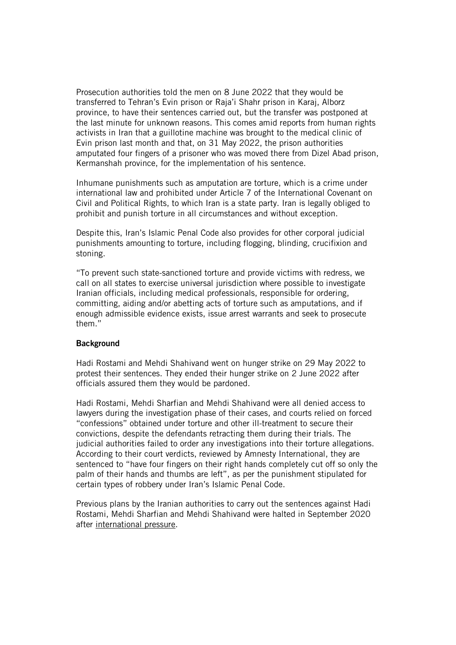Prosecution authorities told the men on 8 June 2022 that they would be transferred to Tehran's Evin prison or Raja'i Shahr prison in Karaj, Alborz province, to have their sentences carried out, but the transfer was postponed at the last minute for unknown reasons. This comes amid reports from human rights activists in Iran that a guillotine machine was brought to the medical clinic of Evin prison last month and that, on 31 May 2022, the prison authorities amputated four fingers of a prisoner who was moved there from Dizel Abad prison, Kermanshah province, for the implementation of his sentence.

Inhumane punishments such as amputation are torture, which is a crime under international law and prohibited under Article 7 of the International Covenant on Civil and Political Rights, to which Iran is a state party. Iran is legally obliged to prohibit and punish torture in all circumstances and without exception.

Despite this, Iran's Islamic Penal Code also provides for other corporal judicial punishments amounting to torture, including flogging, blinding, crucifixion and stoning.

"To prevent such state-sanctioned torture and provide victims with redress, we call on all states to exercise universal jurisdiction where possible to investigate Iranian officials, including medical professionals, responsible for ordering, committing, aiding and/or abetting acts of torture such as amputations, and if enough admissible evidence exists, issue arrest warrants and seek to prosecute them."

## **Background**

Hadi Rostami and Mehdi Shahivand went on hunger strike on 29 May 2022 to protest their sentences. They ended their hunger strike on 2 June 2022 after officials assured them they would be pardoned.

Hadi Rostami, Mehdi Sharfian and Mehdi Shahivand were all denied access to lawyers during the investigation phase of their cases, and courts relied on forced "confessions" obtained under torture and other ill-treatment to secure their convictions, despite the defendants retracting them during their trials. The judicial authorities failed to order any investigations into their torture allegations. According to their court verdicts, reviewed by Amnesty International, they are sentenced to "have four fingers on their right hands completely cut off so only the palm of their hands and thumbs are left", as per the punishment stipulated for certain types of robbery under Iran's Islamic Penal Code.

Previous plans by the Iranian authorities to carry out the sentences against Hadi Rostami, Mehdi Sharfian and Mehdi Shahivand were halted in September 2020 after [international](https://www.amnesty.org/en/latest/news/2020/09/iran-horrifying-plan-to-amputate-fingers-of-four-men-convicted-of-robbery-must-be-stopped/) pressure.